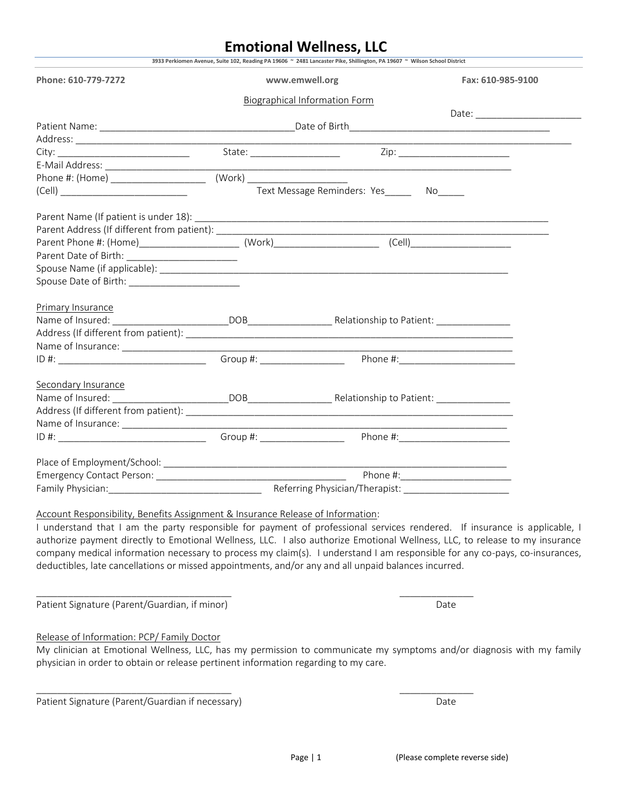# **Emotional Wellness, LLC**

| Phone: 610-779-7272                             | www.emwell.org                                                                                                 | Fax: 610-985-9100                                                          |  |  |  |
|-------------------------------------------------|----------------------------------------------------------------------------------------------------------------|----------------------------------------------------------------------------|--|--|--|
|                                                 |                                                                                                                |                                                                            |  |  |  |
|                                                 | Biographical Information Form                                                                                  |                                                                            |  |  |  |
|                                                 |                                                                                                                |                                                                            |  |  |  |
|                                                 |                                                                                                                |                                                                            |  |  |  |
|                                                 |                                                                                                                |                                                                            |  |  |  |
|                                                 |                                                                                                                |                                                                            |  |  |  |
|                                                 |                                                                                                                |                                                                            |  |  |  |
|                                                 | Text Message Reminders: Yes_______ No______                                                                    |                                                                            |  |  |  |
|                                                 |                                                                                                                |                                                                            |  |  |  |
|                                                 |                                                                                                                |                                                                            |  |  |  |
|                                                 |                                                                                                                |                                                                            |  |  |  |
|                                                 |                                                                                                                |                                                                            |  |  |  |
|                                                 |                                                                                                                |                                                                            |  |  |  |
|                                                 | Spouse Name (if applicable): example and a set of the space of the set of the set of the set of the set of the |                                                                            |  |  |  |
| Spouse Date of Birth: _________________________ |                                                                                                                |                                                                            |  |  |  |
|                                                 |                                                                                                                |                                                                            |  |  |  |
| Primary Insurance                               |                                                                                                                |                                                                            |  |  |  |
|                                                 |                                                                                                                |                                                                            |  |  |  |
|                                                 |                                                                                                                |                                                                            |  |  |  |
|                                                 |                                                                                                                |                                                                            |  |  |  |
|                                                 |                                                                                                                |                                                                            |  |  |  |
|                                                 |                                                                                                                |                                                                            |  |  |  |
| Secondary Insurance                             |                                                                                                                |                                                                            |  |  |  |
|                                                 |                                                                                                                |                                                                            |  |  |  |
|                                                 |                                                                                                                |                                                                            |  |  |  |
|                                                 |                                                                                                                | the control of the control of the control of the control of the control of |  |  |  |
| ID#:                                            |                                                                                                                |                                                                            |  |  |  |
|                                                 |                                                                                                                |                                                                            |  |  |  |
|                                                 |                                                                                                                |                                                                            |  |  |  |
|                                                 |                                                                                                                |                                                                            |  |  |  |

I understand that I am the party responsible for payment of professional services rendered. If insurance is applicable, I authorize payment directly to Emotional Wellness, LLC. I also authorize Emotional Wellness, LLC, to release to my insurance company medical information necessary to process my claim(s). I understand I am responsible for any co-pays, co-insurances, deductibles, late cancellations or missed appointments, and/or any and all unpaid balances incurred.

 $\overline{\phantom{a}}$  , and the contract of the contract of the contract of the contract of the contract of the contract of the contract of the contract of the contract of the contract of the contract of the contract of the contrac

 $\overline{\phantom{a}}$  , and the contribution of the contribution of  $\overline{\phantom{a}}$  , and the contribution of  $\overline{\phantom{a}}$ 

Patient Signature (Parent/Guardian, if minor) and the control of the control of the Date

#### Release of Information: PCP/ Family Doctor

My clinician at Emotional Wellness, LLC, has my permission to communicate my symptoms and/or diagnosis with my family physician in order to obtain or release pertinent information regarding to my care.

Patient Signature (Parent/Guardian if necessary) and the control of the Date of Date